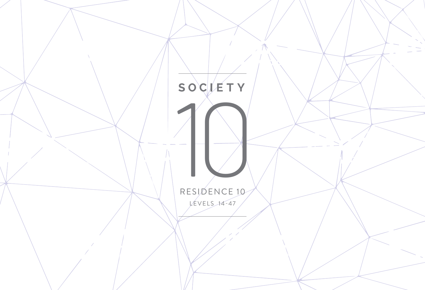